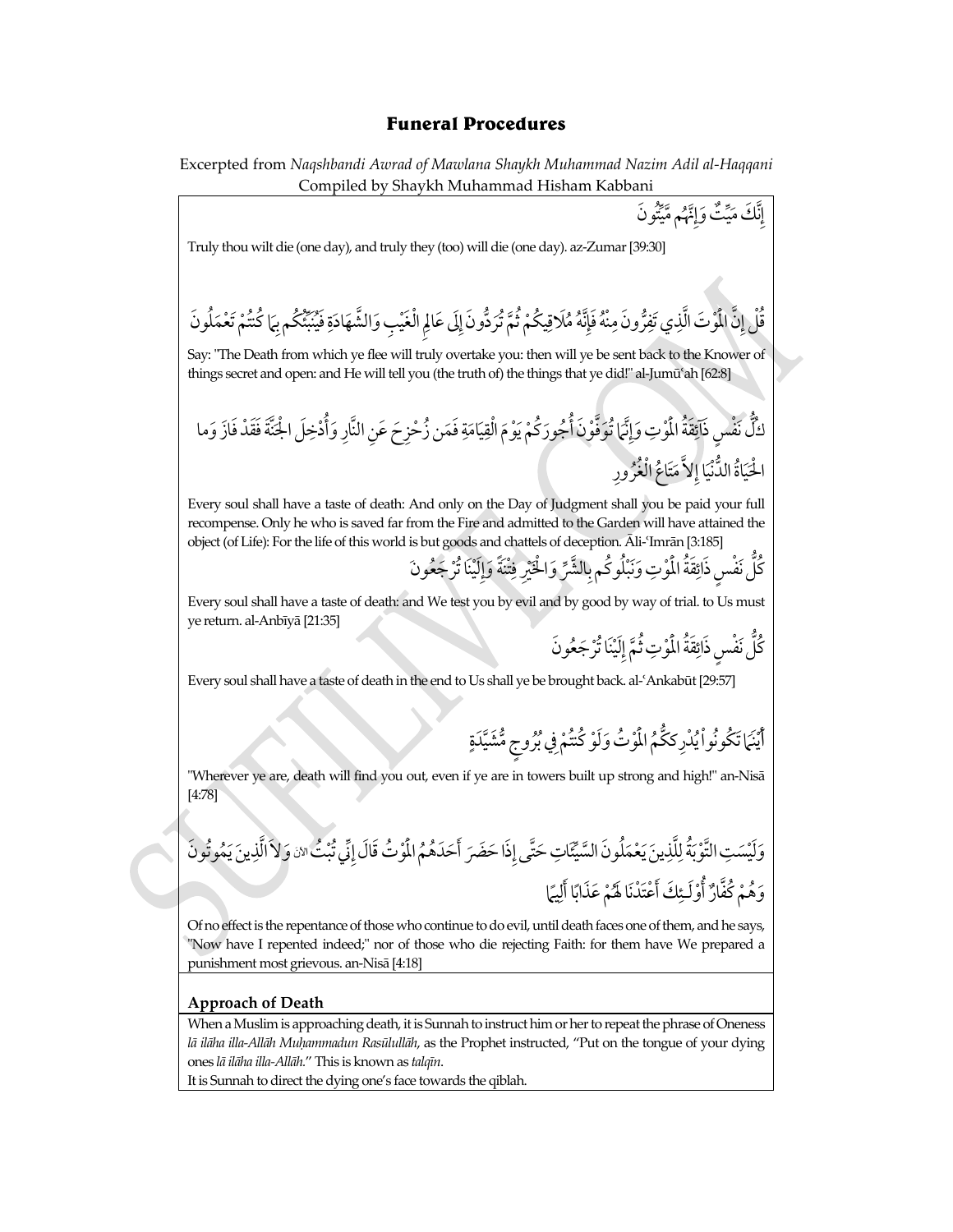# **Funeral Procedures**

Excerpted from *Naqshbandi Awrad of Mawlana Shaykh Muhammad Nazim Adil al-Haqqani* Compiled by Shaykh Muhammad Hisham Kabbani

\n**Two** Truly that with the 
$$
(000 \text{ and } 010 \text{ and } 010 \text{ and } 010 \text{ and } 010 \text{ and } 010 \text{ and } 010 \text{ and } 010 \text{ and } 010 \text{ and } 010 \text{ and } 010 \text{ and } 010 \text{ and } 010 \text{ and } 010 \text{ and } 010 \text{ and } 010 \text{ and } 010 \text{ and } 010 \text{ and } 010 \text{ and } 010 \text{ and } 010 \text{ and } 010 \text{ and } 010 \text{ and } 010 \text{ and } 010 \text{ and } 010 \text{ and } 010 \text{ and } 010 \text{ and } 010 \text{ and } 010 \text{ and } 010 \text{ and } 010 \text{ and } 010 \text{ and } 010 \text{ and } 010 \text{ and } 010 \text{ and } 010 \text{ and } 010 \text{ and } 010 \text{ and } 010 \text{ and } 010 \text{ and } 010 \text{ and } 010 \text{ and } 010 \text{ and } 010 \text{ and } 010 \text{ and } 010 \text{ and } 010 \text{ and } 010 \text{ and } 010 \text{ and } 010 \text{ and } 010 \text{ and } 010 \text{ and } 010 \text{ and } 010 \text{ and } 010 \text{ and } 010 \text{ and } 010 \text{ and } 010 \text{ and } 010 \text{ and } 010 \text{ and } 010 \text{ and } 010 \text{ and } 010 \text{ and } 010 \text{ and } 010 \text{ and } 010 \text{ and } 010 \text{ and } 010 \text{ and } 010 \text{ and } 010 \text{ and } 010 \text{ and } 010 \text{ and } 010 \text{ and } 010 \text{ and } 010 \text{ and } 010 \text{ and } 010 \text{ and } 010 \text{ and } 010 \text{ and } 010 \text{ and } 010 \text{ and } 010 \text{
$$

### **Approach of Death**

When a Muslim is approaching death, it is Sunnah to instruct him or her to repeat the phrase of Oneness lā ilāha illa-Allāh Muḥammadun Rasūlullāh, as the Prophet instructed, "Put on the tongue of your dying ones *lā ilāha illa-Allāh.*" This is known as *talqīn*.

It is Sunnah to direct the dying one's face towards the qiblah.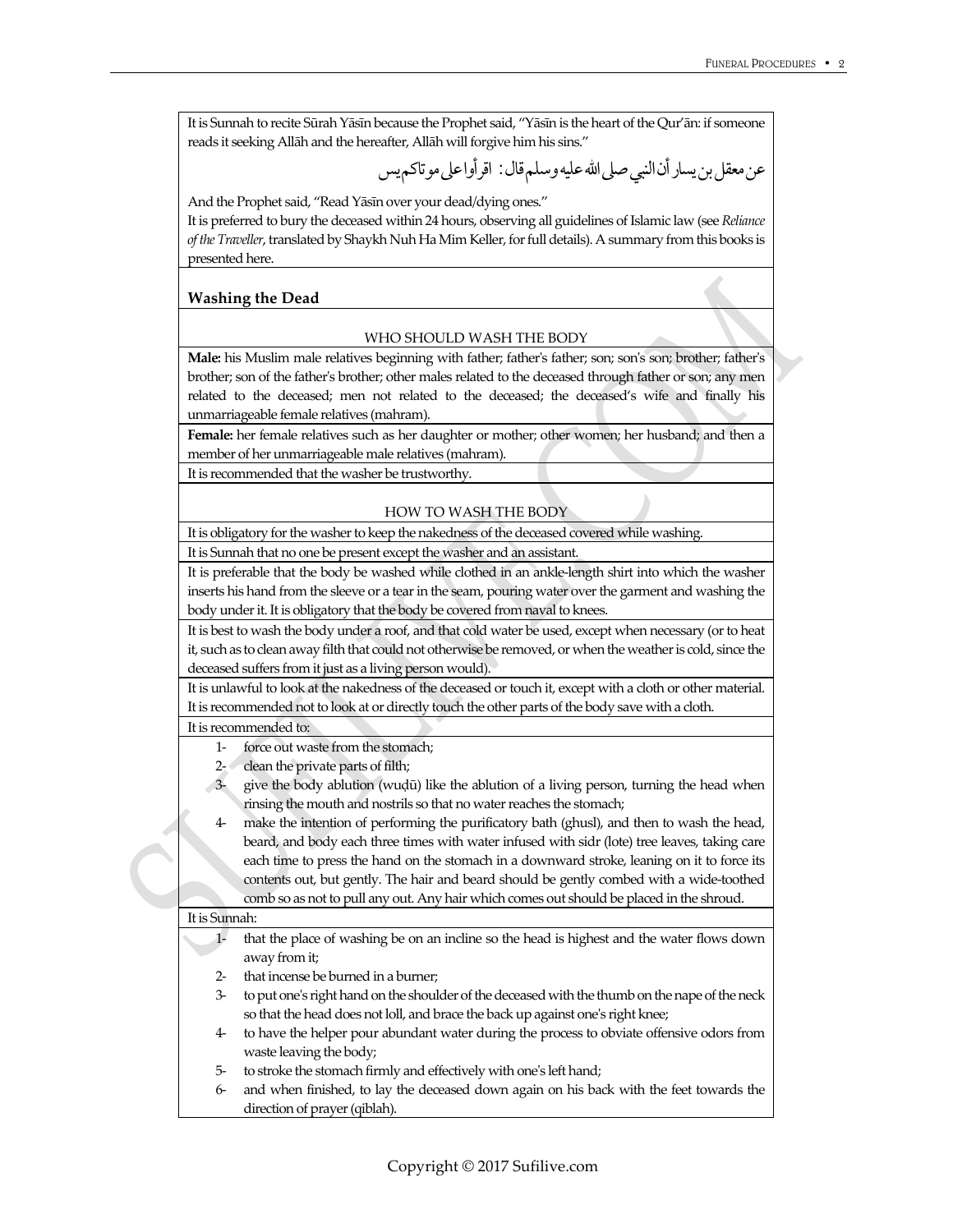It is Sunnah to recite Sūrah Yāsīn because the Prophet said, "Yāsīn is the heart of the Qur'ān: if someone reads it seeking Allāh and the hereafter, Allāh will forgive him his sins."

عن معقلبنيسارأنالنبيصلىااللهعليهوسلمقال: اقرأواعلىموتاكميس

And the Prophet said, "Read Yāsīn over your dead/dying ones."

It is preferred to bury the deceased within 24 hours, observing all guidelines of Islamic law (see *Reliance of the Traveller*, translated by Shaykh Nuh Ha Mim Keller, for full details). A summary from this books is presented here.

### **Washing the Dead**

#### WHO SHOULD WASH THE BODY

**Male:** his Muslim male relatives beginning with father; father's father; son; son's son; brother; father's brother; son of the father's brother; other males related to the deceased through father or son; any men related to the deceased; men not related to the deceased; the deceased's wife and finally his unmarriageable female relatives (mahram).

**Female:** her female relatives such as her daughter or mother; other women; her husband; and then a member of her unmarriageable male relatives (mahram).

It is recommended that the washer be trustworthy.

#### HOW TO WASH THE BODY

It is obligatory for the washer to keep the nakedness of the deceased covered while washing.

It is Sunnah that no one be present except the washer and an assistant.

It is preferable that the body be washed while clothed in an ankle-length shirt into which the washer inserts his hand from the sleeve or a tear in the seam, pouring water over the garment and washing the body under it. It is obligatory that the body be covered from naval to knees.

It is best to wash the body under a roof, and that cold water be used, except when necessary (or to heat it, such as to clean away filth that could not otherwise be removed, or when the weather is cold, since the deceased suffers from it just as a living person would).

It is unlawful to look at the nakedness of the deceased or touch it, except with a cloth or other material. It is recommended not to look at or directly touch the other parts of the body save with a cloth.

### It is recommended to:

- 1- force out waste from the stomach;
- 2- clean the private parts of filth;
- 3- give the body ablution (wuļū) like the ablution of a living person, turning the head when rinsing the mouth and nostrils so that no water reaches the stomach;
- 4- make the intention of performing the purificatory bath (ghusl), and then to wash the head, beard, and body each three times with water infused with sidr (lote) tree leaves, taking care each time to press the hand on the stomach in a downward stroke, leaning on it to force its contents out, but gently. The hair and beard should be gently combed with a wide-toothed comb so as not to pull any out. Any hair which comes out should be placed in the shroud.

#### It is Sunnah:

- 1- that the place of washing be on an incline so the head is highest and the water flows down away from it;
- 2- that incense be burned in a burner;
- 3- to put one's right hand on the shoulder of the deceased with the thumb on the nape of theneck so that the head does not loll, and brace the back up against one's right knee;
- 4- to have the helper pour abundant water during the process to obviate offensive odors from waste leaving the body;
- 5- to stroke the stomach firmly and effectively with one's left hand;
- 6- and when finished, to lay the deceased down again on his back with the feet towards the direction of prayer (qiblah).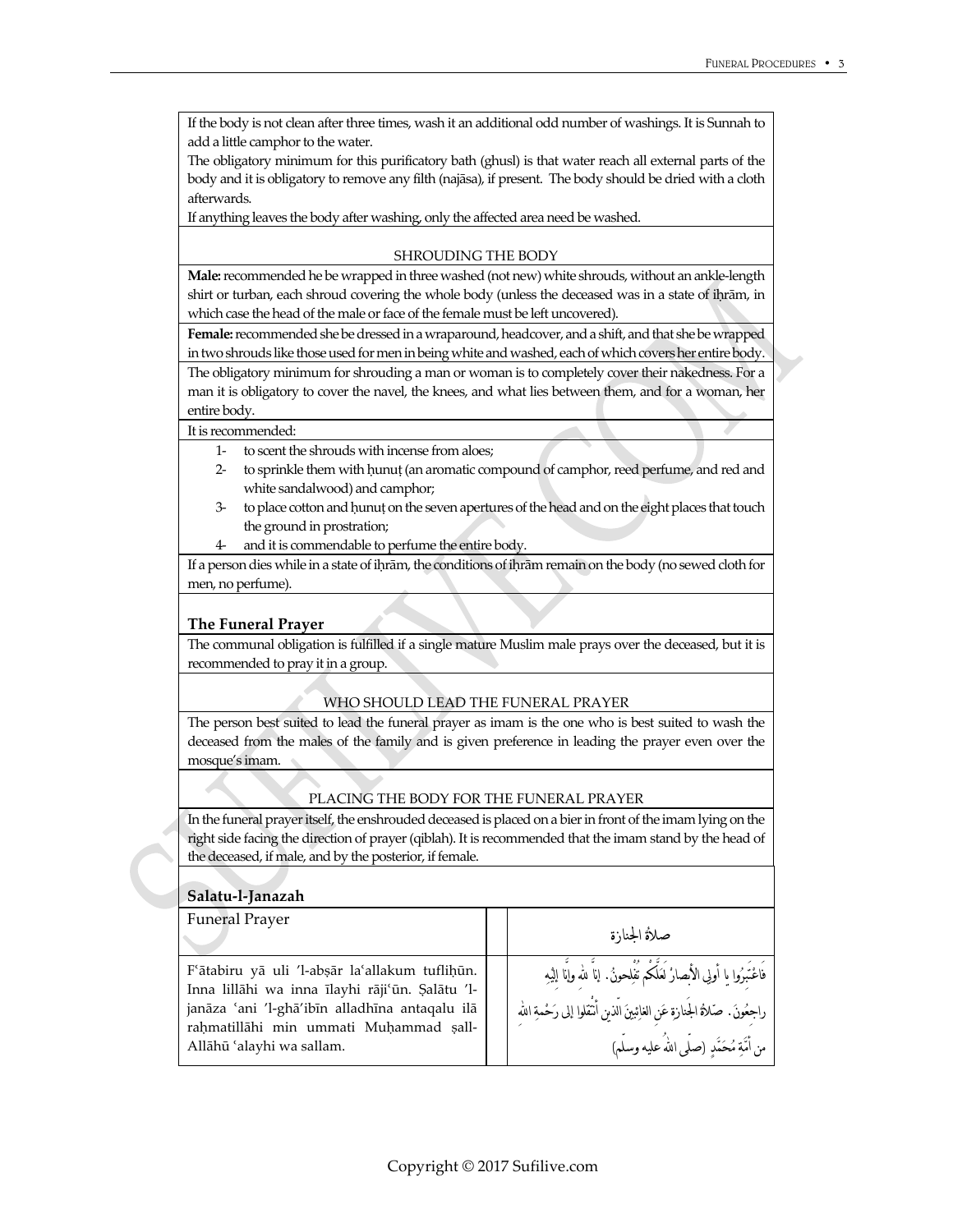If the body is not clean after three times, wash it an additional odd number of washings. It is Sunnah to add a little camphor to the water.

The obligatory minimum for this purificatory bath (ghusl) is that water reach all external parts of the body and it is obligatory to remove any filth (najāsa), if present. The body should be dried with a cloth afterwards.

If anything leaves the body after washing, only the affected area need be washed.

#### SHROUDING THE BODY

**Male:**recommended he be wrapped in three washed (not new) white shrouds, without an ankle-length shirt or turban, each shroud covering the whole body (unless the deceased was in a state of ihrām, in which case the head of the male or face of the female must be left uncovered).

**Female:**recommended she be dressed in a wraparound, headcover, and a shift, and that she be wrapped in two shrouds like those used for men in being white and washed, each of which covers her entire body.

The obligatory minimum for shrouding a man or woman is to completely cover their nakedness. For a man it is obligatory to cover the navel, the knees, and what lies between them, and for a woman, her entire body.

#### It is recommended:

- 1- to scent the shrouds with incense from aloes;
- 2- to sprinkle them with ħunuţ(an aromatic compound of camphor, reed perfume, and red and white sandalwood) and camphor;
- 3- to place cotton and ħunuţon the sevenapertures of the headand on the eight places that touch the ground in prostration;
- 4- and it is commendable to perfume the entire body.

If a person dies while in a state of ihrām, the conditions of ihrām remain on the body (no sewed cloth for men, no perfume).

# **The Funeral Prayer**

The communal obligation is fulfilled if a single mature Muslim male prays over the deceased, but it is recommended to pray it in a group.

# WHO SHOULD LEAD THE FUNERAL PRAYER

The person best suited to lead the funeral prayer as imam is the one who is best suited to wash the deceased from the males of the family and is given preference in leading the prayer even over the mosque's imam.

# PLACING THE BODY FOR THE FUNERAL PRAYER

In the funeral prayer itself, the enshrouded deceased is placed on a bier in front of the imam lying on the right side facing the direction of prayer (qiblah). It is recommended that the imam stand by the head of the deceased, if male, and by the posterior, if female.

# **Salatu-l-Janazah**

| <b>Funeral Prayer</b>                                                                                                                                                                                                      | صلأة الجنازة                                                                                                                                                                                                        |
|----------------------------------------------------------------------------------------------------------------------------------------------------------------------------------------------------------------------------|---------------------------------------------------------------------------------------------------------------------------------------------------------------------------------------------------------------------|
| F'ātabiru yā uli 'l-absār la'allakum tuflihūn.<br>Inna lillāhi wa inna īlayhi rāji'ūn. Șalātu 'l-<br>janāza 'ani 'l-ghā'ibīn alladhīna antaqalu ilā<br>rahmatillāhi min ummati Muhammad șall-<br>Allāhū 'alayhi wa sallam. | فَاعْتَبِرُوا يا أُولِي الأَبصارْ لَعَلَّكُم نَفْلِحونُ. إناَّ لله وإنَّا إليْهِ<br>راجعُونَ. صَلاةُ الجَنازةِ عَن الغائِبينَ الّذينِ أَنْقَلُوا إلى رَحْمةِ الله<br>من أُمَّةِ مُحَمَّدٍ (صلَّى اللهُ عليه وسلَّم) |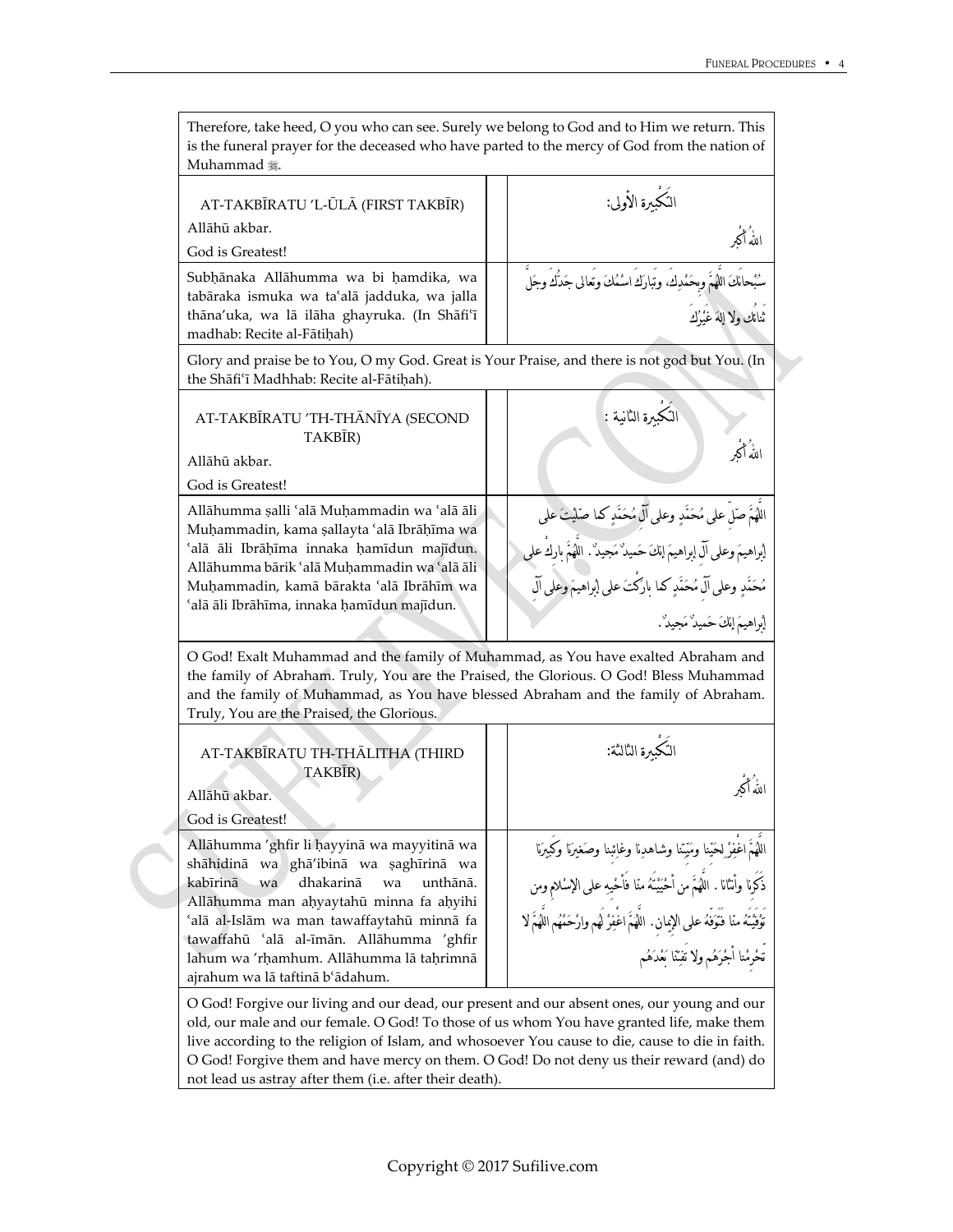| Therefore, take heed, O you who can see. Surely we belong to God and to Him we return. This<br>is the funeral prayer for the deceased who have parted to the mercy of God from the nation of<br>Muhammad 囊.                                                                                                                                                |                                                                                                                                                                                                                                                                                                                     |  |  |
|------------------------------------------------------------------------------------------------------------------------------------------------------------------------------------------------------------------------------------------------------------------------------------------------------------------------------------------------------------|---------------------------------------------------------------------------------------------------------------------------------------------------------------------------------------------------------------------------------------------------------------------------------------------------------------------|--|--|
| AT-TAKBĪRATU 'L-ŪLĀ (FIRST TAKBĪR)<br>Allāhū akbar.<br>God is Greatest!                                                                                                                                                                                                                                                                                    | التُكْبِرة الأولى:<br>الله أكبر                                                                                                                                                                                                                                                                                     |  |  |
| Subhānaka Allāhumma wa bi hamdika, wa<br>tabāraka ismuka wa ta'alā jadduka, wa jalla<br>thāna'uka, wa lā ilāha ghayruka. (In Shāfi'ī<br>madhab: Recite al-Fātiḥah)                                                                                                                                                                                         | سُبْحالَكَ اللَّهُمَّ وِحَمْدِكَ، وتُبارَكَ اسْمُكَ وتعالى جَدَكَ وجَلَّ<br>ثنائك ولا إلهَ غَيْرُك                                                                                                                                                                                                                  |  |  |
| Glory and praise be to You, O my God. Great is Your Praise, and there is not god but You. (In<br>the Shāfi'ī Madhhab: Recite al-Fātiḥah).                                                                                                                                                                                                                  |                                                                                                                                                                                                                                                                                                                     |  |  |
| AT-TAKBĪRATU 'TH-THĀNĪYA (SECOND<br>TAKBĪR)<br>Allāhū akbar.<br>God is Greatest!                                                                                                                                                                                                                                                                           | التكبيرة الثانية :<br>اللهُ أكبر                                                                                                                                                                                                                                                                                    |  |  |
| Allāhumma șalli 'alā Muḥammadin wa 'alā āli<br>Muhammadin, kama şallayta 'alā Ibrāhīma wa<br>'alā āli Ibrāķīma innaka hamīdun majīdun.<br>Allāhumma bārik 'alā Muhammadin wa 'alā āli<br>Muhammadin, kamā bārakta 'alā Ibrāhīm wa<br>'alā āli Ibrāhīma, innaka hamīdun majīdun.                                                                            | اللَّهُمَّ صَلْ على مُحَمَّدٍ وعلى آلَّ مُحَمَّدٍ كما صَلَيْتَ على<br>[براهيمَ وعلى آل إبراهيمَ إنكَ حَميدٌ مَجيدٌ'. اللَّهُمَّ بارك علي<br>مُحَمَّدٍ وعلى آلَ مُحَمَّدٍ كما بارَكَتَ على إبراهيمَ وعلى آلَ<br>إبراهيمَ إنكَ حَميدٌ مَجيدٌ .                                                                        |  |  |
| O God! Exalt Muhammad and the family of Muhammad, as You have exalted Abraham and<br>the family of Abraham. Truly, You are the Praised, the Glorious. O God! Bless Muhammad<br>and the family of Muhammad, as You have blessed Abraham and the family of Abraham.<br>Truly, You are the Praised, the Glorious.                                             |                                                                                                                                                                                                                                                                                                                     |  |  |
| AT-TAKBĪRATU TH-THĀLITHA (THIRD<br>TAKBIR)<br>Allāhū akbar.<br>God is Greatest!                                                                                                                                                                                                                                                                            | النُكبِرة الثالثة:<br>لله أكه                                                                                                                                                                                                                                                                                       |  |  |
| Allāhumma 'ghfir li hayyinā wa mayyitinā wa<br>shāhidinā wa ghā'ibinā wa saghīrinā wa<br>kabīrinā<br>dhakarinā<br>unthānā.<br>wa<br>wa<br>Allāhumma man ahyaytahū minna fa ahyihi<br>'alā al-Islām wa man tawaffaytahū minnā fa<br>tawaffahū 'alā al-īmān. Allāhumma 'ghfir<br>lahum wa 'rhamhum. Allāhumma lā taḥrimnā<br>ajrahum wa lā taftinā b'ādahum. | اللَّهُمَّ اغْفِرْ لِحَيْنا ومَيْنا وشاهدِنا وغائِبنا وصَغيرَنا وكَبيرَنا<br>ذَكَرِنا وأنثانا . اللَّهَمَّ مَن أَحْيَيْتُهُ منا فَأْخَيِهِ على الإسْلامِ وِمِن<br>.<br>تَوْفَيْتُهُ منّا فَنَوَفْهُ على الإِبِمانِ. اللَّهُمَّ اغْفِرْ لَهُم وارْحَمْهُم اللَّهُمَّ لا<br>تحْرِمْنا أَجْرَهُم ولا تفتِّنا بَعْدَهُم |  |  |
| O God! Forgive our living and our dead, our present and our absent ones, our young and our<br>old, our male and our female. O God! To those of us whom You have granted life, make them                                                                                                                                                                    |                                                                                                                                                                                                                                                                                                                     |  |  |

live according to the religion of Islam, and whosoever You cause to die, cause to die in faith. O God! Forgive them and have mercy on them. O God! Do not deny us their reward (and) do not lead us astray after them (i.e. after their death).

J.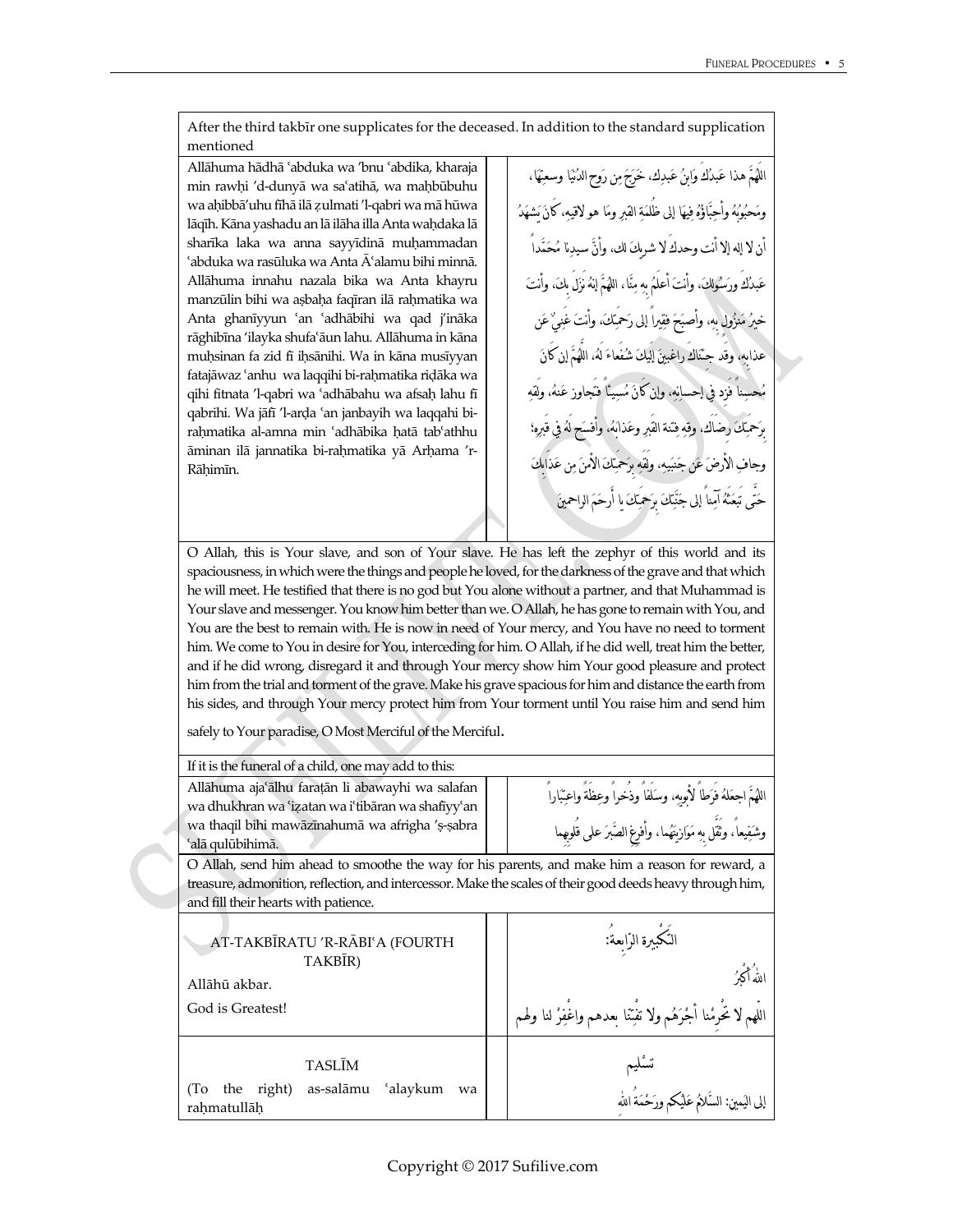After the third takbīr one supplicates for the deceased. In addition to the standard supplication mentioned

Allāhuma hādhā ¿abduka wa 'bnu ¿abdika, kharaja min rawhi 'd-dunyā wa sa'atihā, wa mahbūbuhu wa aħibbā'uhu fīhā ilā Ƹulmati 'l-qabri wa mā hūwa lāqīh. Kāna yashadu an lā ilāha illa Anta waḥdaka lā sharīka laka wa anna sayyīdinā muhammadan  $\alpha$ abduka wa rasūluka wa Anta  $\bar{A}$ 'alamu bihi minnā. Allāhuma innahu nazala bika wa Anta khayru manzūlin bihi wa asbaha faqīran ilā rahmatika wa Anta ghanīyyun 'an 'adhābihi wa qad j'ināka rāghibīna 'ilayka shufa¿āun lahu. Allāhuma in kāna muḥsinan fa zid fī iḥsānihi. Wa in kāna musīyyan fatajāwaz 'anhu wa laqqihi bi-raḥmatika riḍāka wa qihi fitnata 'l-qabri wa 'adhābahu wa afsah lahu fī qabrihi. Wa jāfī 'l-arda 'an janbayih wa laqqahi birahmatika al-amna min 'adhābika hatā tab'athhu āminan ilā jannatika bi-rahmatika yā Arhama 'r-Rāħimīn.

اللَهم هذا عبدكَ وابن عبدك، خرج من روح الدنيا وسعتها، ومحبوبه وأحباؤه فيها إلى ظُلمة القبر وما هو لاقيه، كَان يشهد أن لا إله إلا أنت وحدكَ لا شريك لك، وأن سيدنا محمداً عبدكَ ورسولك، وأنت أعلَم بِه منا، اللهم إنه نَزلَ بِك، وأنت خيرُ مَنزُولٍ بِه، وأصبَحَ فقيراً إلى رَحمَتكَ، وأنتَ عذابِه، وقَد جِئناكَ راغبين إلَيك شفَعاء لَه، اللَّهم إن كَان محسناً فَزِد في إحسانه، وإن كَان مسيئاً فتَجاوز عنه، ولَقه رضاك، وقه فِتنة القَبرِ وعَذابَهُ، وأفسَه الأَرضَ عَنْ جَنبَيه، ولَقَه مِرَحَمَتِكَ الأَمنَ من حتَّى تَبعثَه آمناً إلى جنتك بِرحمَتك يا أَرحم الراحمين

O Allah, this is Your slave, and son of Your slave. He has left the zephyr of this world and its spaciousness, in which were the things and people he loved, for the darkness of the grave and that which he will meet. He testified that there is no god but You alone without a partner, and that Muhammad is Your slave and messenger. You know him better than we. O Allah, he has gone to remain with You, and You are the best to remain with. He is now in need of Your mercy, and You have no need to torment him. We come to You in desire for You, interceding for him. O Allah, if he did well, treat him the better, and if he did wrong, disregard it and through Your mercy show him Your good pleasure and protect him from the trial and torment of the grave. Make his grave spacious for him and distance the earth from his sides, and through Your mercy protect him from Your torment until You raise him and send him

safely to Your paradise, O Most Merciful of the Merciful.

If it is the funeral of a child, one may add to this:

Allāhuma aja¿ālhu faraţān li abawayhi wa salafan wa dhukhran wa 'izatan wa i'tibāran wa shafīyy'an wa thaqil bihi mawāzīnahumā wa afrigha 's-sabra ¿alā qulūbihimā.

اللهم اجعله فَرطاً لأبويه، وسلَفاً وذُخراً وعظَةً واعتباراً وشفيعا،ً وثَقَّل بِه موازينهما، وأفرِغِ الصبر على قُلوبِهِما

O Allah, send him ahead to smoothe the way for his parents, and make him a reason for reward, a treasure, admonition, reflection, and intercessor. Make the scales of their good deeds heavy through him, and fill their hearts with patience.

| AT-TAKBĪRATU 'R-RĀBI'A (FOURTH<br>TAKBIR)                          | النكبيرة الرّاسةُ:                                                             |
|--------------------------------------------------------------------|--------------------------------------------------------------------------------|
| Allāhū akbar.                                                      | الله أكثرُ                                                                     |
| God is Greatest!                                                   | اللّهم لا تُحرْمْنا أَجْرَهُم ولا تفْتِنا بعدهم واغْفِرْ لنا ولهم <sup>ا</sup> |
| <b>TASLIM</b>                                                      | تسليم                                                                          |
| as-salāmu<br>'alaykum<br>right)<br>(1)<br>the<br>wa<br>rahmatullāh | إلى اليَمينِ: السَّلامُ عَلَيْكم ورَحْمَةُ الله                                |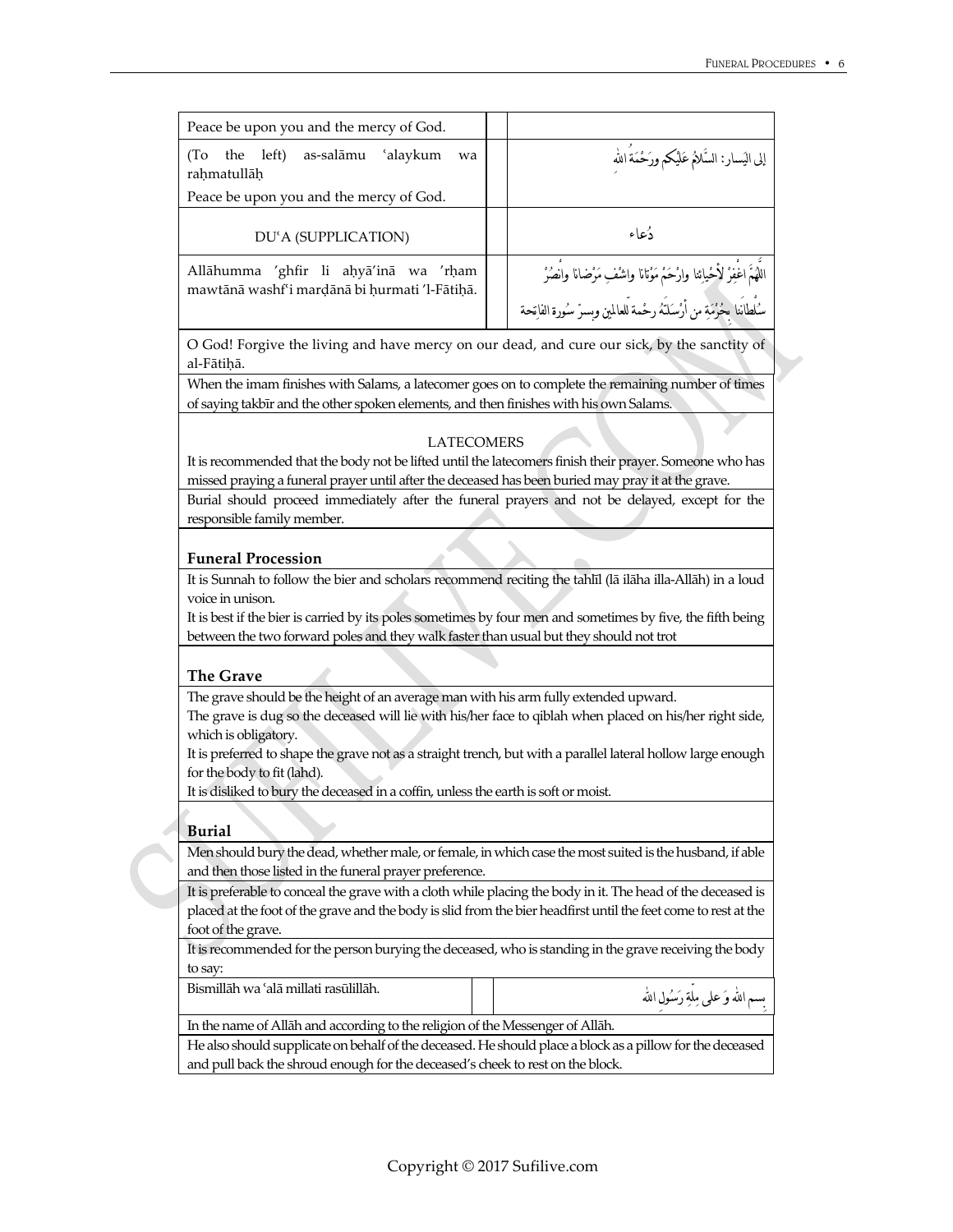| Peace be upon you and the mercy of God.                                                |                                                                                                                                                        |
|----------------------------------------------------------------------------------------|--------------------------------------------------------------------------------------------------------------------------------------------------------|
| left)<br>as-salāmu<br>ʻalaykum<br>the<br>(To<br>wa<br>rahmatullāh                      | إلى اليَسار: السَّلامُ عَلَيْكُمْ ورَحْمَةُ اللَّه                                                                                                     |
| Peace be upon you and the mercy of God.                                                |                                                                                                                                                        |
| DU'A (SUPPLICATION)                                                                    | دُعاء                                                                                                                                                  |
| Allāhumma 'ghfir li aḥyā'inā wa 'rḥam<br>mawtānā washf'i mardānā bi hurmati 'l-Fātihā. | اللَّهُمَ اغْفِرْ لأَحْيائِنا وارْحَمْ مَوْتانا واشْفِ مَرْضانا والصُرْ<br>سُلْطانَنا بِحُرْمَةِ من أَرْسَلَنَهُ رحْمة لْلعالمين وبِسرّ سُورة الفاتِحة |

O God! Forgive the living and have mercy on our dead, and cure our sick, by the sanctity of al-Fātihā.

When the imam finishes with Salams, a latecomer goes on to complete the remaining number of times of saying takbīr and the other spoken elements, and then finishes with his own Salams.

#### LATECOMERS

It is recommended that the body not be lifted until the latecomers finish their prayer. Someone who has missed praying a funeral prayer until after the deceased has been buried may pray it at the grave.

Burial should proceed immediately after the funeral prayers and not be delayed, except for the responsible family member.

#### **Funeral Procession**

It is Sunnah to follow the bier and scholars recommend reciting the tahlīl (lā ilāha illa-Allāh) in a loud voice in unison.

It is best if the bier is carried by its poles sometimes by four men and sometimes by five, the fifth being between the two forward poles and they walk faster than usual but they should not trot

# **The Grave**

The grave should be the height of an average man with his arm fully extended upward.

The grave is dug so the deceased will lie with his/her face to qiblah when placed on his/her right side, which is obligatory.

It is preferred to shape the grave not as a straight trench, but with a parallel lateral hollow large enough for the body to fit (lahd).

It is disliked to bury the deceased in a coffin, unless the earth is soft or moist.

# **Burial**

Men should bury the dead, whether male, or female, in which case the most suited is the husband, if able and then those listed in the funeral prayer preference.

It is preferable to conceal the grave with a cloth while placing the body in it. The head of the deceased is placed at the foot of the grave and the body is slid from the bier headfirst until the feet come to rest at the foot of the grave.

It is recommended for the person burying the deceased, who is standing in the grave receiving the body to say:

بِسِم الله وَ على ملّة رَسُولِ الله .<br>بِسِم الله وَ على ملّة رَسُولِ الله

In the name of Allāh and according to the religion of the Messenger of Allāh.

He also should supplicate on behalf of the deceased. He should place a block as a pillow for the deceased and pull back the shroud enough for the deceased's cheek to rest on the block.